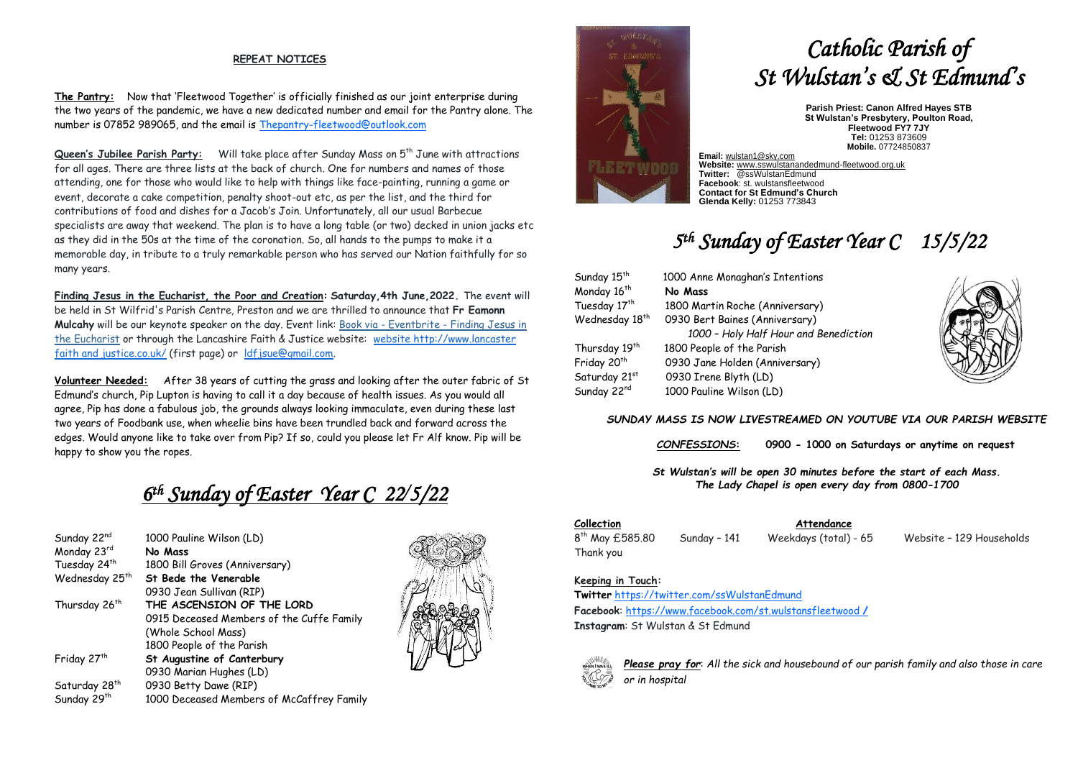### **REPEAT NOTICES**

**The Pantry:** Now that 'Fleetwood Together' is officially finished as our joint enterprise during the two years of the pandemic, we have a new dedicated number and email for the Pantry alone. The number is 07852 989065, and the email is [Thepantry-fleetwood@outlook.com](mailto:Thepantry-fleetwood@outlook.com)

Queen's Jubilee Parish Party: Will take place after Sunday Mass on 5<sup>th</sup> June with attractions for all ages. There are three lists at the back of church. One for numbers and names of those attending, one for those who would like to help with things like face-painting, running a game or event, decorate a cake competition, penalty shoot-out etc, as per the list, and the third for contributions of food and dishes for a Jacob's Join. Unfortunately, all our usual Barbecue specialists are away that weekend. The plan is to have a long table (or two) decked in union jacks etc as they did in the 50s at the time of the coronation. So, all hands to the pumps to make it a memorable day, in tribute to a truly remarkable person who has served our Nation faithfully for so many years.

**Finding Jesus in the Eucharist, the Poor and Creation: Saturday,4th June,2022.** The event will be held in St Wilfrid's Parish Centre, Preston and we are thrilled to announce that **Fr Eamonn Mulcahy** will be our keynote speaker on the day. Event link: Book via - Eventbrite - [Finding Jesus in](https://justice-and-peace.us7.list-manage.com/track/click?u=43dc262537b1536e87dc04eca&id=873efdab5a&e=a1b36d1c7b)  [the Eucharist](https://justice-and-peace.us7.list-manage.com/track/click?u=43dc262537b1536e87dc04eca&id=873efdab5a&e=a1b36d1c7b) or through the Lancashire Faith & Justice website: [website](http://goog_1942359649/) [http://www.lancaster](http://www.lancasterfaithandjustice.co.uk/)  [faith and justice.co.uk/](http://www.lancasterfaithandjustice.co.uk/) (first page) or [ldfjsue@gmail.com.](mailto:ldfjsue@gmail.com)

**Volunteer Needed:** After 38 years of cutting the grass and looking after the outer fabric of St Edmund's church, Pip Lupton is having to call it a day because of health issues. As you would all agree, Pip has done a fabulous job, the grounds always looking immaculate, even during these last two years of Foodbank use, when wheelie bins have been trundled back and forward across the edges. Would anyone like to take over from Pip? If so, could you please let Fr Alf know. Pip will be happy to show you the ropes.

## *6 th Sunday of Easter Year C 22/5/22*

| Sunday 22nd                | 1000 Pauline Wilson (LD)                  |
|----------------------------|-------------------------------------------|
| Monday 23rd                | No Mass                                   |
| Tuesday 24 <sup>th</sup>   | 1800 Bill Groves (Anniversary)            |
| Wednesday 25 <sup>th</sup> | St Bede the Venerable                     |
|                            | 0930 Jean Sullivan (RIP)                  |
| Thursday 26 <sup>th</sup>  | THE ASCENSION OF THE LORD                 |
|                            | 0915 Deceased Members of the Cuffe Family |
|                            | (Whole School Mass)                       |
|                            | 1800 People of the Parish                 |
| Friday 27 <sup>th</sup>    | St Augustine of Canterbury                |
|                            | 0930 Marian Hughes (LD)                   |
| Saturday 28 <sup>th</sup>  | 0930 Betty Dawe (RIP)                     |
| Sunday 29 <sup>th</sup>    | 1000 Deceased Members of McCaffrey Family |





# *Catholic Parish of St Wulstan's & St Edmund's*

**Parish Priest: Canon Alfred Hayes STB St Wulstan's Presbytery, Poulton Road, Fleetwood FY7 7JY Tel:** 01253 873609 **Mobile.** 07724850837

**Email:** [wulstan1@sky.com](mailto:wulstan1@sky.com) **Website:** [www.sswulstanandedmund-fleetwood.org.uk](http://www.sswulstanandedmund-fleetwood.org.uk/) **Twitter:** @ssWulstanEdmund **Facebook**: st. wulstansfleetwood **Contact for St Edmund's Church Glenda Kelly:** 01253 773843

# *5 th Sunday of Easter Year C 15/5/22*

| Sunday 15 <sup>th</sup>    | 1000 Anne Monaghan's Intentions       |
|----------------------------|---------------------------------------|
| Monday 16 <sup>th</sup>    | No Mass                               |
| Tuesday 17 <sup>th</sup>   | 1800 Martin Roche (Anniversary)       |
| Wednesday 18 <sup>th</sup> | 0930 Bert Baines (Anniversary)        |
|                            | 1000 - Holy Half Hour and Benediction |
| Thursday 19 <sup>th</sup>  | 1800 People of the Parish             |
| Friday 20 <sup>th</sup>    | 0930 Jane Holden (Anniversary)        |
| Saturday 21st              | 0930 Irene Blyth (LD)                 |
| Sunday 22nd                | 1000 Pauline Wilson (LD)              |



### *SUNDAY MASS IS NOW LIVESTREAMED ON YOUTUBE VIA OUR PARISH WEBSITE*

*CONFESSIONS***: 0900 - 1000 on Saturdays or anytime on request**

*St Wulstan's will be open 30 minutes before the start of each Mass. The Lady Chapel is open every day from 0800-1700*

### **Collection Attendance**

Thank you

Sunday - 141 Weekdays (total) - 65 Website - 129 Households

### **Keeping in Touch:**

8<sup>th</sup> May £585.80

**Twitter** <https://twitter.com/ssWulstanEdmund> **Facebook**: https://www.facebook.com/st.wulstansfleetwood **/ Instagram**: St Wulstan & St Edmund



*Please pray for*: *All the sick and housebound of our parish family and also those in care or in hospital*